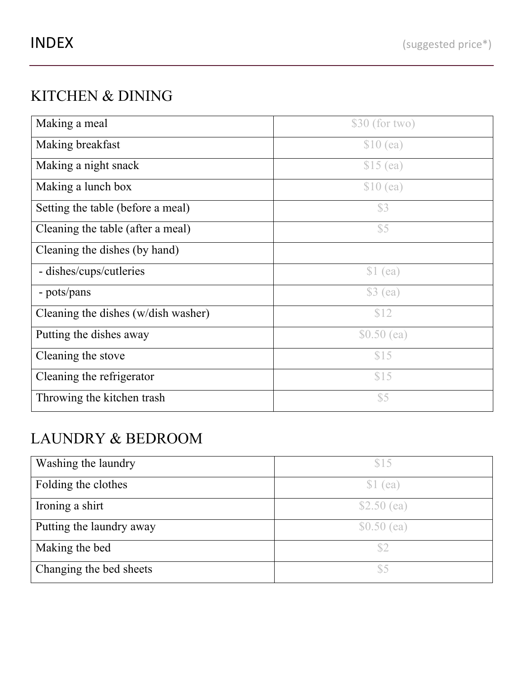## KITCHEN & DINING

| Making a meal                       | $$30$ (for two) |
|-------------------------------------|-----------------|
| Making breakfast                    | $$10$ (ea)      |
| Making a night snack                | $$15$ (ea)      |
| Making a lunch box                  | $$10$ (ea)      |
| Setting the table (before a meal)   | \$3             |
| Cleaning the table (after a meal)   | \$5             |
| Cleaning the dishes (by hand)       |                 |
| - dishes/cups/cutleries             | \$1 (ea)        |
| - pots/pans                         | $$3$ (ea)       |
| Cleaning the dishes (w/dish washer) | \$12            |
| Putting the dishes away             | $$0.50$ (ea)    |
| Cleaning the stove                  | \$15            |
| Cleaning the refrigerator           | \$15            |
| Throwing the kitchen trash          | \$5             |

#### LAUNDRY & BEDROOM

| Washing the laundry      | \$15         |
|--------------------------|--------------|
| Folding the clothes      | \$1 (ea)     |
| Ironing a shirt          | $$2.50$ (ea) |
| Putting the laundry away | $$0.50$ (ea) |
| Making the bed           | S2           |
| Changing the bed sheets  | \$5          |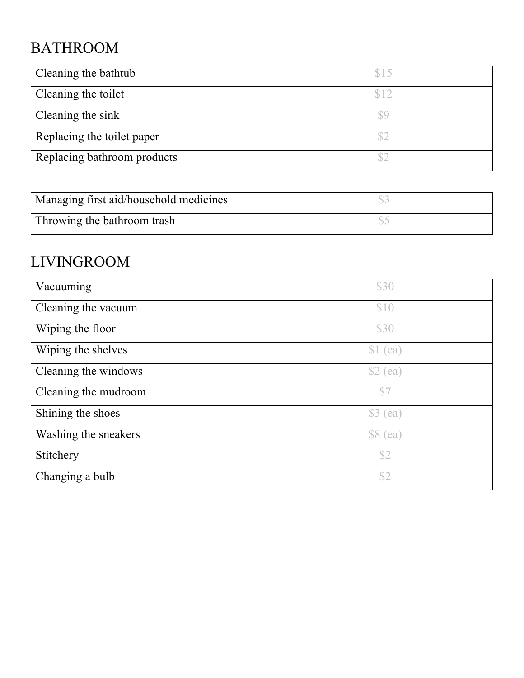# BATHROOM

| Cleaning the bathtub        | \$15 |
|-----------------------------|------|
| Cleaning the toilet         | \$10 |
| Cleaning the sink           |      |
| Replacing the toilet paper  |      |
| Replacing bathroom products |      |

| Managing first aid/household medicines |  |
|----------------------------------------|--|
| Throwing the bathroom trash            |  |

## LIVINGROOM

| Vacuuming            | \$30      |
|----------------------|-----------|
| Cleaning the vacuum  | \$10      |
| Wiping the floor     | \$30      |
| Wiping the shelves   | $$1$ (ea) |
| Cleaning the windows | \$2 (ea)  |
| Cleaning the mudroom | \$7       |
| Shining the shoes    | \$3 (ea)  |
| Washing the sneakers | $$8$ (ea) |
| Stitchery            | \$2       |
| Changing a bulb      | \$2       |